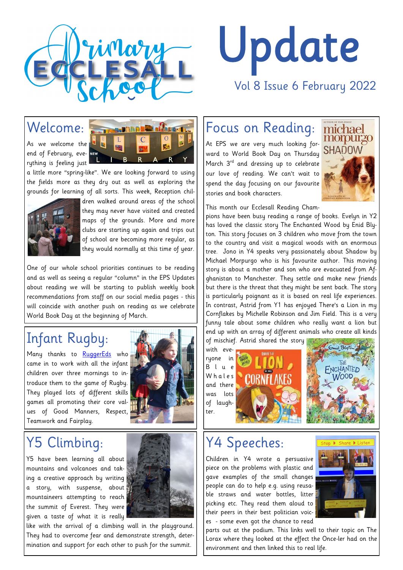

# Update Vol 8 Issue 6 February 2022

As we welcome the end of February, everything is feeling just



a little more "spring-like". We are looking forward to using the fields more as they dry out as well as exploring the grounds for learning of all sorts. This week, Reception chil-



dren walked around areas of the school they may never have visited and created maps of the grounds. More and more clubs are starting up again and trips out of school are becoming more regular, as they would normally at this time of year.

One of our whole school priorities continues to be reading and as well as seeing a regular "column" in the EPS Updates about reading we will be starting to publish weekly book recommendations from staff on our social media pages - this will coincide with another push on reading as we celebrate World Book Day at the beginning of March.

#### Infant Rugby:

Many thanks to [RuggerEds](http://www.ruggereds.co.uk/about-us/) who came in to work with all the infant children over three mornings to introduce them to the game of Rugby. They played lots of different skills games all promoting their core values of Good Manners, Respect, Teamwork and Fairplay.



### Y5 Climbing:

Y5 have been learning all about mountains and volcanoes and taking a creative approach by writing a story, with suspense, about mountaineers attempting to reach the summit of Everest. They were given a taste of what it is really



like with the arrival of a climbing wall in the playground. They had to overcome fear and demonstrate strength, determination and support for each other to push for the summit.

#### Focus on Reading:

At EPS we are very much looking forward to World Book Day on Thursday March 3<sup>rd</sup> and dressing up to celebrate our love of reading. We can't wait to spend the day focusing on our favourite stories and book characters.



This month our Ecclesall Reading Cham-

pions have been busy reading a range of books. Evelyn in Y2 has loved the classic story The Enchanted Wood by Enid Blyton. This story focuses on 3 children who move from the town to the country and visit a magical woods with an enormous tree. Jono in Y4 speaks very passionately about Shadow by Michael Morpurgo who is his favourite author. This moving story is about a mother and son who are evacuated from Afghanistan to Manchester. They settle and make new friends but there is the threat that they might be sent back. The story is particularly poignant as it is based on real life experiences. In contrast, Astrid from Y1 has enjoyed There's a Lion in my Cornflakes by Michelle Robinson and Jim Field. This is a very funny tale about some children who really want a lion but end up with an array of different animals who create all kinds of mischief. Astrid shared the story







#### Y4 Speeches:

Children in Y4 wrote a persuasive piece on the problems with plastic and gave examples of the small changes people can do to help e.g. using reusable straws and water bottles, litter picking etc. They read them aloud to their peers in their best politician voices - some even got the chance to read



parts out at the podium. This links well to their topic on The Lorax where they looked at the effect the Once-ler had on the environment and then linked this to real life.